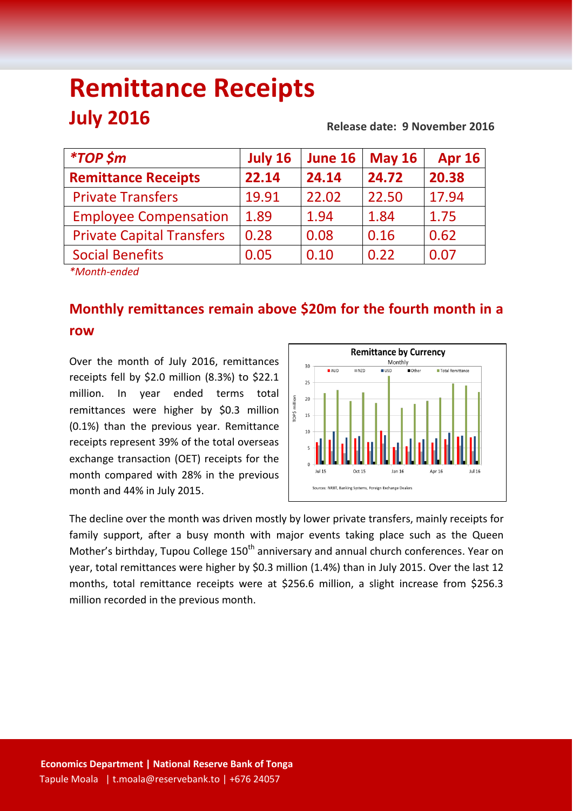# **Remittance Receipts July 2016 Release date: 9 November 2016**

| <i><b>*TOP \$m</b></i>                                | July 16<br>June 16 |       | <b>May 16</b> | <b>Apr 16</b> |  |
|-------------------------------------------------------|--------------------|-------|---------------|---------------|--|
| <b>Remittance Receipts</b>                            | 22.14              | 24.14 | 24.72         | 20.38         |  |
| <b>Private Transfers</b>                              | 19.91              | 22.02 | 22.50         | 17.94         |  |
| <b>Employee Compensation</b>                          | 1.89               | 1.94  | 1.84          | 1.75          |  |
| <b>Private Capital Transfers</b>                      | 0.28               | 0.08  | 0.16          | 0.62          |  |
| <b>Social Benefits</b>                                | 0.05               | 0.10  | 0.22          | 0.07          |  |
| $\mathcal{L}$ and the set of the set of $\mathcal{L}$ |                    |       |               |               |  |

*\*Month-ended*

## **Monthly remittances remain above \$20m for the fourth month in a row**

Over the month of July 2016, remittances receipts fell by \$2.0 million (8.3%) to \$22.1 million. In year ended terms total remittances were higher by \$0.3 million (0.1%) than the previous year. Remittance receipts represent 39% of the total overseas exchange transaction (OET) receipts for the month compared with 28% in the previous month and 44% in July 2015.



The decline over the month was driven mostly by lower private transfers, mainly receipts for family support, after a busy month with major events taking place such as the Queen Mother's birthday, Tupou College 150<sup>th</sup> anniversary and annual church conferences. Year on year, total remittances were higher by \$0.3 million (1.4%) than in July 2015. Over the last 12 months, total remittance receipts were at \$256.6 million, a slight increase from \$256.3 million recorded in the previous month.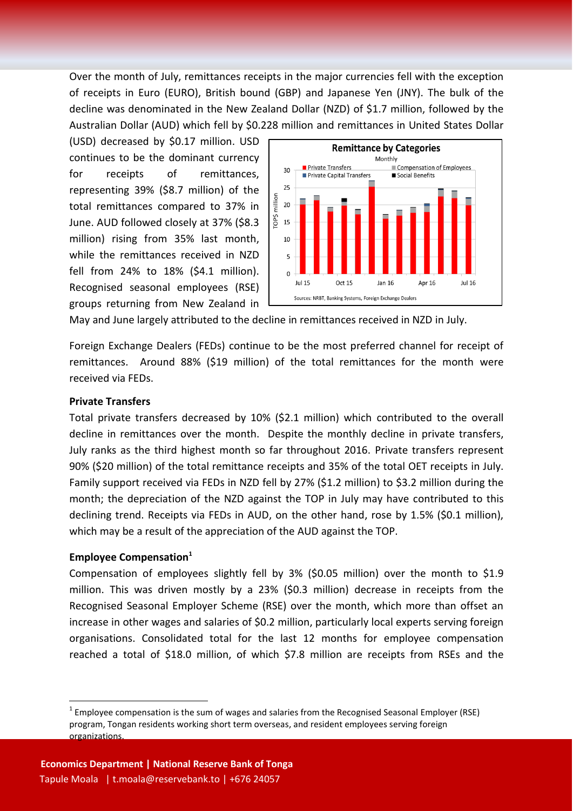Over the month of July, remittances receipts in the major currencies fell with the exception of receipts in Euro (EURO), British bound (GBP) and Japanese Yen (JNY). The bulk of the decline was denominated in the New Zealand Dollar (NZD) of \$1.7 million, followed by the Australian Dollar (AUD) which fell by \$0.228 million and remittances in United States Dollar

(USD) decreased by \$0.17 million. USD continues to be the dominant currency for receipts of remittances, representing 39% (\$8.7 million) of the total remittances compared to 37% in June. AUD followed closely at 37% (\$8.3 million) rising from 35% last month, while the remittances received in NZD fell from 24% to 18% (\$4.1 million). Recognised seasonal employees (RSE) groups returning from New Zealand in



May and June largely attributed to the decline in remittances received in NZD in July.

Foreign Exchange Dealers (FEDs) continue to be the most preferred channel for receipt of remittances. Around 88% (\$19 million) of the total remittances for the month were received via FEDs.

#### **Private Transfers**

Total private transfers decreased by 10% (\$2.1 million) which contributed to the overall decline in remittances over the month. Despite the monthly decline in private transfers, July ranks as the third highest month so far throughout 2016. Private transfers represent 90% (\$20 million) of the total remittance receipts and 35% of the total OET receipts in July. Family support received via FEDs in NZD fell by 27% (\$1.2 million) to \$3.2 million during the month; the depreciation of the NZD against the TOP in July may have contributed to this declining trend. Receipts via FEDs in AUD, on the other hand, rose by 1.5% (\$0.1 million), which may be a result of the appreciation of the AUD against the TOP.

#### **Employee Compensation<sup>1</sup>**

**.** 

Compensation of employees slightly fell by 3% (\$0.05 million) over the month to \$1.9 million. This was driven mostly by a 23% (\$0.3 million) decrease in receipts from the Recognised Seasonal Employer Scheme (RSE) over the month, which more than offset an increase in other wages and salaries of \$0.2 million, particularly local experts serving foreign organisations. Consolidated total for the last 12 months for employee compensation reached a total of \$18.0 million, of which \$7.8 million are receipts from RSEs and the

 $1$  Employee compensation is the sum of wages and salaries from the Recognised Seasonal Employer (RSE) program, Tongan residents working short term overseas, and resident employees serving foreign organizations.